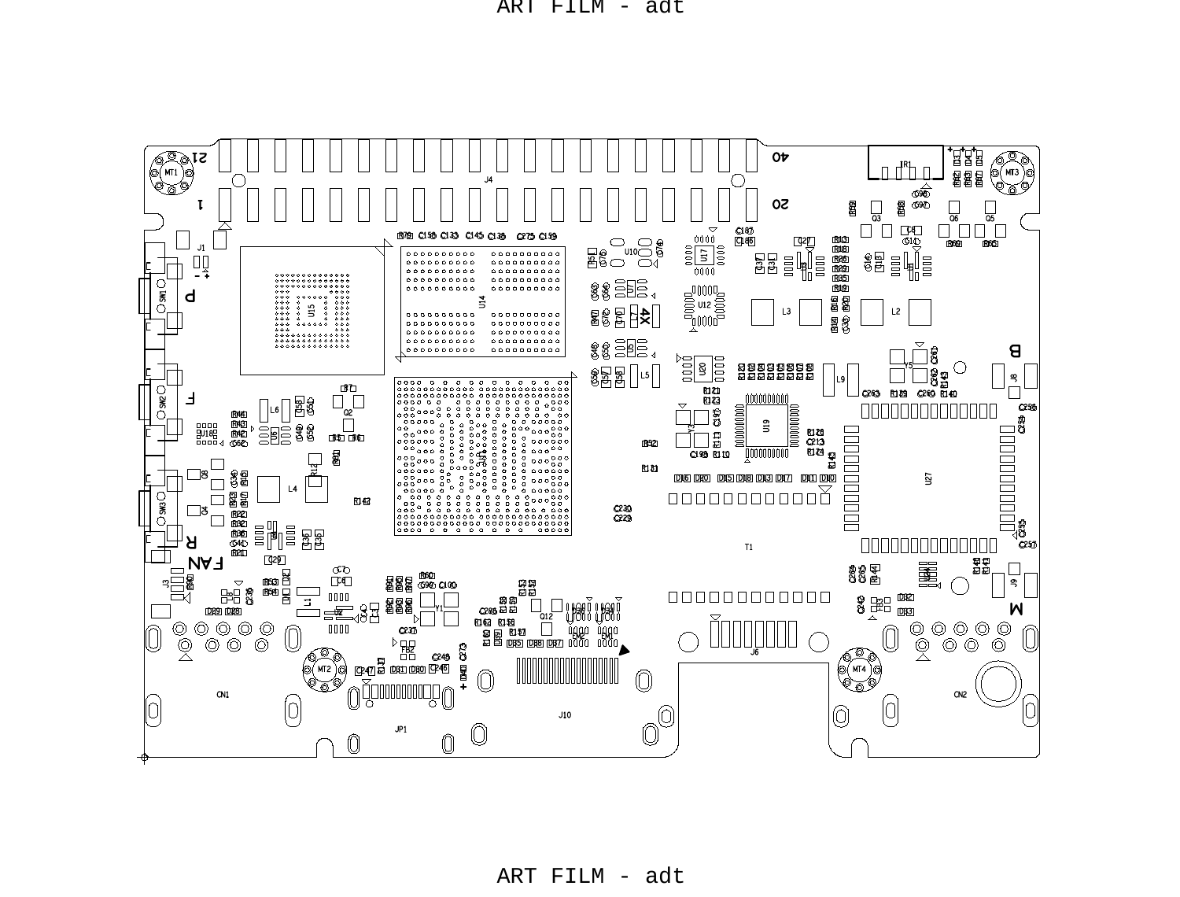